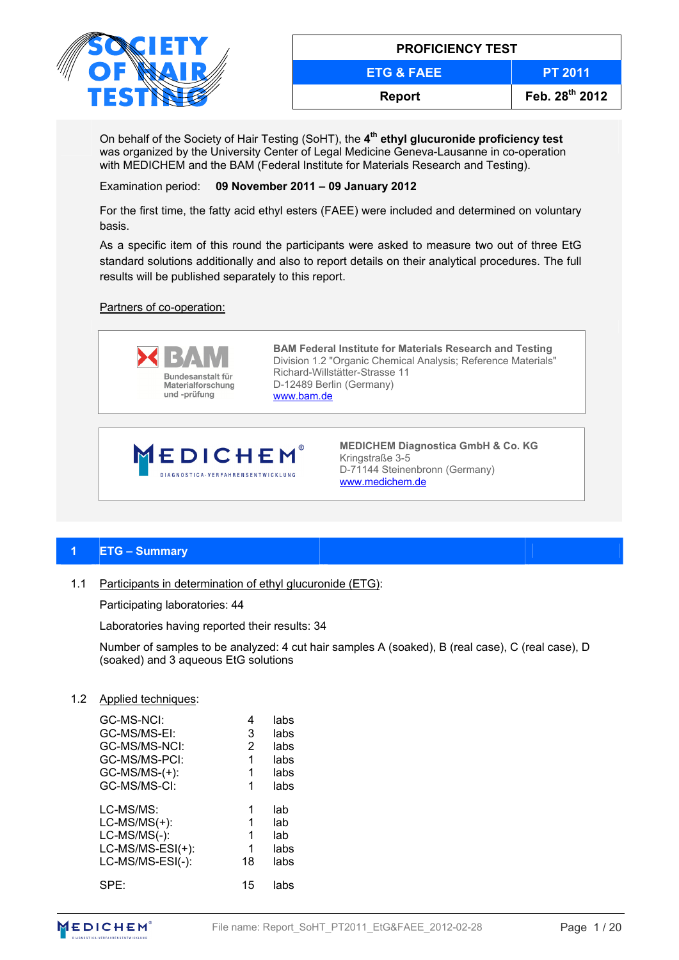

| <b>PROFICIENCY TEST</b> |                |  |  |  |  |  |
|-------------------------|----------------|--|--|--|--|--|
| <b>ETG &amp; FAEE</b>   | <b>PT 2011</b> |  |  |  |  |  |
| <b>Report</b>           | Feb. 28th 2012 |  |  |  |  |  |

On behalf of the Society of Hair Testing (SoHT), the **4th ethyl glucuronide proficiency test** was organized by the University Center of Legal Medicine Geneva-Lausanne in co-operation with MEDICHEM and the BAM (Federal Institute for Materials Research and Testing).

Examination period: **09 November 2011 – 09 January 2012** 

For the first time, the fatty acid ethyl esters (FAEE) were included and determined on voluntary basis.

As a specific item of this round the participants were asked to measure two out of three EtG standard solutions additionally and also to report details on their analytical procedures. The full results will be published separately to this report.

## Partners of co-operation:



**BAM Federal Institute for Materials Research and Testing**  Division 1.2 "Organic Chemical Analysis; Reference Materials" Richard-Willstätter-Strasse 11 D-12489 Berlin (Germany) www.bam.de



**MEDICHEM Diagnostica GmbH & Co. KG** Kringstraße 3-5 D-71144 Steinenbronn (Germany) www.medichem.de

# **1 ETG – Summary**

1.1 Participants in determination of ethyl glucuronide (ETG):

Participating laboratories: 44

Laboratories having reported their results: 34

Number of samples to be analyzed: 4 cut hair samples A (soaked), B (real case), C (real case), D (soaked) and 3 aqueous EtG solutions

#### 1.2 Applied techniques:

| GC-MS-NCI:<br>GC-MS/MS-EI:<br>GC-MS/MS-NCI:<br>GC-MS/MS-PCI:<br>$GC-MS/MS-(+)$ :<br>GC-MS/MS-CI: | 4<br>3<br>2<br>1<br>1<br>1 | labs<br>labs<br>labs<br>labs<br>labs<br>labs |
|--------------------------------------------------------------------------------------------------|----------------------------|----------------------------------------------|
| LC-MS/MS:                                                                                        | 1                          | lab                                          |
| $LC-MS/MS(+)$ :                                                                                  | 1                          | lab                                          |
| LC-MS/MS(-):                                                                                     | 1                          | lab                                          |
| LC-MS/MS-ESI(+):                                                                                 | 1                          | labs                                         |
| LC-MS/MS-ESI(-):                                                                                 | 18                         | labs                                         |
| $SPF^*$                                                                                          | 15                         | labs                                         |

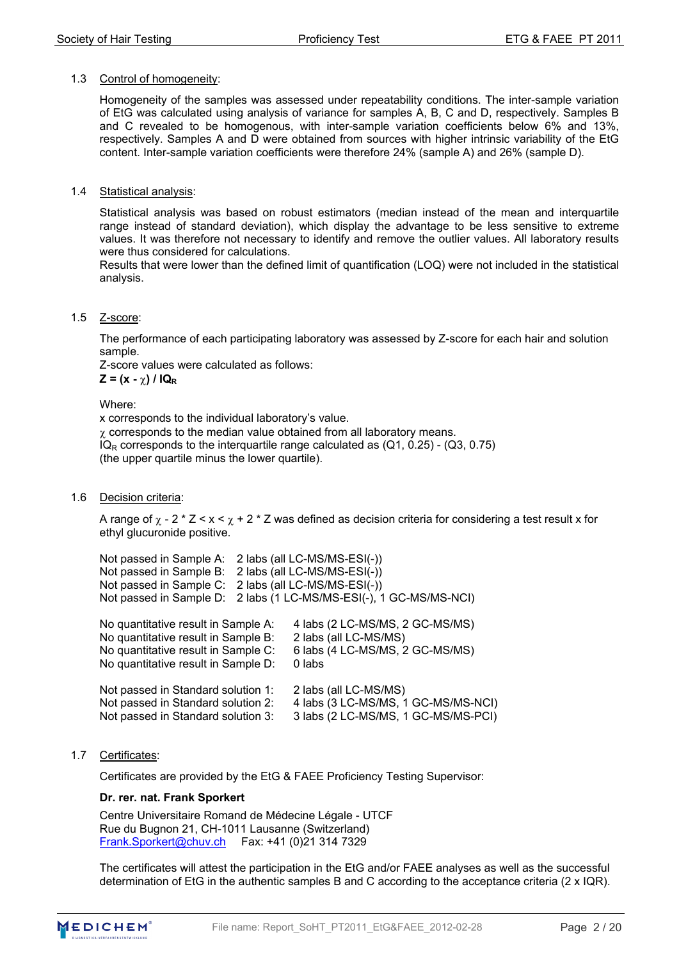#### 1.3 Control of homogeneity:

Homogeneity of the samples was assessed under repeatability conditions. The inter-sample variation of EtG was calculated using analysis of variance for samples A, B, C and D, respectively. Samples B and C revealed to be homogenous, with inter-sample variation coefficients below 6% and 13%, respectively. Samples A and D were obtained from sources with higher intrinsic variability of the EtG content. Inter-sample variation coefficients were therefore 24% (sample A) and 26% (sample D).

#### 1.4 Statistical analysis:

Statistical analysis was based on robust estimators (median instead of the mean and interquartile range instead of standard deviation), which display the advantage to be less sensitive to extreme values. It was therefore not necessary to identify and remove the outlier values. All laboratory results were thus considered for calculations.

Results that were lower than the defined limit of quantification (LOQ) were not included in the statistical analysis.

#### 1.5 Z-score:

The performance of each participating laboratory was assessed by Z-score for each hair and solution sample.

Z-score values were calculated as follows:

 $Z = (x - \gamma) / IQ_R$ 

Where:

x corresponds to the individual laboratory's value.  $\chi$  corresponds to the median value obtained from all laboratory means.  $IQ<sub>R</sub>$  corresponds to the interquartile range calculated as  $(Q1, 0.25)$  -  $(Q3, 0.75)$ (the upper quartile minus the lower quartile).

## 1.6 Decision criteria:

A range of  $\chi$  - 2  $\star$  Z  $\ltimes$  x  $\lt \chi$  + 2  $\star$  Z was defined as decision criteria for considering a test result x for ethyl glucuronide positive.

| Not passed in Sample A: 2 labs (all LC-MS/MS-ESI(-))<br>Not passed in Sample B: 2 labs (all LC-MS/MS-ESI(-))<br>Not passed in Sample C: 2 labs (all LC-MS/MS-ESI(-)) | Not passed in Sample D: 2 labs (1 LC-MS/MS-ESI(-), 1 GC-MS/MS-NCI) |
|----------------------------------------------------------------------------------------------------------------------------------------------------------------------|--------------------------------------------------------------------|
| No quantitative result in Sample A:<br>No quantitative result in Sample B:                                                                                           | 4 labs (2 LC-MS/MS, 2 GC-MS/MS)<br>2 labs (all LC-MS/MS)           |
| No quantitative result in Sample C:                                                                                                                                  | 6 labs (4 LC-MS/MS, 2 GC-MS/MS)                                    |

No quantitative result in Sample D: 0 labs Not passed in Standard solution 1: 2 labs (all LC-MS/MS) Not passed in Standard solution 2: 4 labs (3 LC-MS/MS, 1 GC-MS/MS-NCI) Not passed in Standard solution 3: 3 labs (2 LC-MS/MS, 1 GC-MS/MS-PCI)

1.7 Certificates:

Certificates are provided by the EtG & FAEE Proficiency Testing Supervisor:

## **Dr. rer. nat. Frank Sporkert**

Centre Universitaire Romand de Médecine Légale - UTCF Rue du Bugnon 21, CH-1011 Lausanne (Switzerland) Frank.Sporkert@chuv.ch Fax: +41 (0)21 314 7329

The certificates will attest the participation in the EtG and/or FAEE analyses as well as the successful determination of EtG in the authentic samples B and C according to the acceptance criteria (2 x IQR).

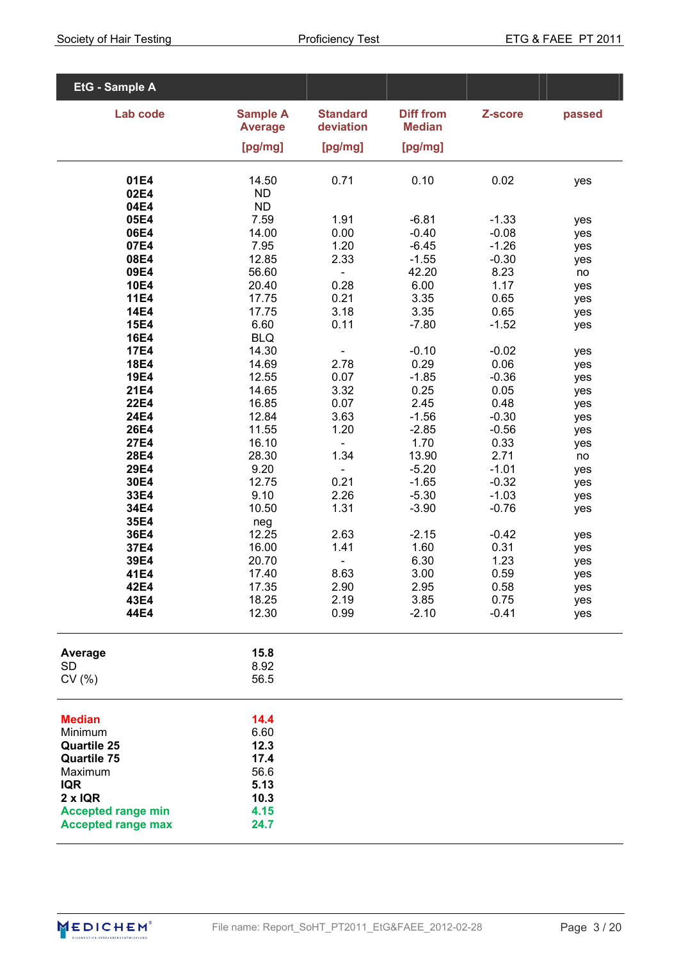| EtG - Sample A                           |                                   |                              |                                   |                    |            |
|------------------------------------------|-----------------------------------|------------------------------|-----------------------------------|--------------------|------------|
| Lab code                                 | <b>Sample A</b><br><b>Average</b> | <b>Standard</b><br>deviation | <b>Diff from</b><br><b>Median</b> | Z-score            | passed     |
|                                          | [pg/mg]                           | [pg/mg]                      | [pg/mg]                           |                    |            |
|                                          |                                   |                              |                                   |                    |            |
| 01E4<br>02E4                             | 14.50<br><b>ND</b>                | 0.71                         | 0.10                              | 0.02               | yes        |
| 04E4                                     | <b>ND</b>                         |                              |                                   |                    |            |
| 05E4                                     | 7.59                              | 1.91                         | $-6.81$                           | $-1.33$            | yes        |
| 06E4                                     | 14.00                             | 0.00                         | $-0.40$                           | $-0.08$            | yes        |
| 07E4<br>08E4                             | 7.95<br>12.85                     | 1.20<br>2.33                 | $-6.45$<br>$-1.55$                | $-1.26$<br>$-0.30$ | yes<br>yes |
| 09E4                                     | 56.60                             | $\blacksquare$               | 42.20                             | 8.23               | no         |
| <b>10E4</b>                              | 20.40                             | 0.28                         | 6.00                              | 1.17               | yes        |
| <b>11E4</b>                              | 17.75                             | 0.21                         | 3.35                              | 0.65               | yes        |
| <b>14E4</b><br><b>15E4</b>               | 17.75<br>6.60                     | 3.18<br>0.11                 | 3.35<br>$-7.80$                   | 0.65<br>$-1.52$    | yes        |
| <b>16E4</b>                              | <b>BLQ</b>                        |                              |                                   |                    | yes        |
| <b>17E4</b>                              | 14.30                             | ÷,                           | $-0.10$                           | $-0.02$            | yes        |
| <b>18E4</b>                              | 14.69                             | 2.78                         | 0.29                              | 0.06               | yes        |
| <b>19E4</b>                              | 12.55                             | 0.07                         | $-1.85$                           | $-0.36$            | yes        |
| <b>21E4</b><br><b>22E4</b>               | 14.65<br>16.85                    | 3.32<br>0.07                 | 0.25<br>2.45                      | 0.05<br>0.48       | yes<br>yes |
| 24E4                                     | 12.84                             | 3.63                         | $-1.56$                           | $-0.30$            | yes        |
| <b>26E4</b>                              | 11.55                             | 1.20                         | $-2.85$                           | $-0.56$            | yes        |
| <b>27E4</b>                              | 16.10                             | $\blacksquare$               | 1.70                              | 0.33               | yes        |
| <b>28E4</b><br>29E4                      | 28.30<br>9.20                     | 1.34                         | 13.90<br>$-5.20$                  | 2.71<br>$-1.01$    | no         |
| 30E4                                     | 12.75                             | $\blacksquare$<br>0.21       | $-1.65$                           | $-0.32$            | yes<br>yes |
| 33E4                                     | 9.10                              | 2.26                         | $-5.30$                           | $-1.03$            | yes        |
| 34E4                                     | 10.50                             | 1.31                         | $-3.90$                           | $-0.76$            | yes        |
| 35E4<br>36E4                             | neg                               |                              |                                   |                    |            |
| 37E4                                     | 12.25<br>16.00                    | 2.63<br>1.41                 | $-2.15$<br>1.60                   | $-0.42$<br>0.31    | yes<br>yes |
| 39E4                                     | 20.70                             |                              | 6.30                              | 1.23               | yes        |
| 41E4                                     | 17.40                             | 8.63                         | 3.00                              | 0.59               | yes        |
| 42E4                                     | 17.35                             | 2.90                         | 2.95                              | 0.58               | yes        |
| 43E4<br>44E4                             | 18.25<br>12.30                    | 2.19<br>0.99                 | 3.85<br>$-2.10$                   | 0.75<br>$-0.41$    | yes<br>yes |
|                                          |                                   |                              |                                   |                    |            |
| Average                                  | 15.8                              |                              |                                   |                    |            |
| SD                                       | 8.92                              |                              |                                   |                    |            |
| CV(%)                                    | 56.5                              |                              |                                   |                    |            |
| <b>Median</b>                            | 14.4                              |                              |                                   |                    |            |
| Minimum                                  | 6.60                              |                              |                                   |                    |            |
| <b>Quartile 25</b><br><b>Quartile 75</b> | 12.3<br>17.4                      |                              |                                   |                    |            |
| Maximum                                  | 56.6                              |                              |                                   |                    |            |
| <b>IQR</b>                               | 5.13                              |                              |                                   |                    |            |
| $2 \times IQR$                           | 10.3                              |                              |                                   |                    |            |
| <b>Accepted range min</b>                | 4.15                              |                              |                                   |                    |            |
| <b>Accepted range max</b>                | 24.7                              |                              |                                   |                    |            |

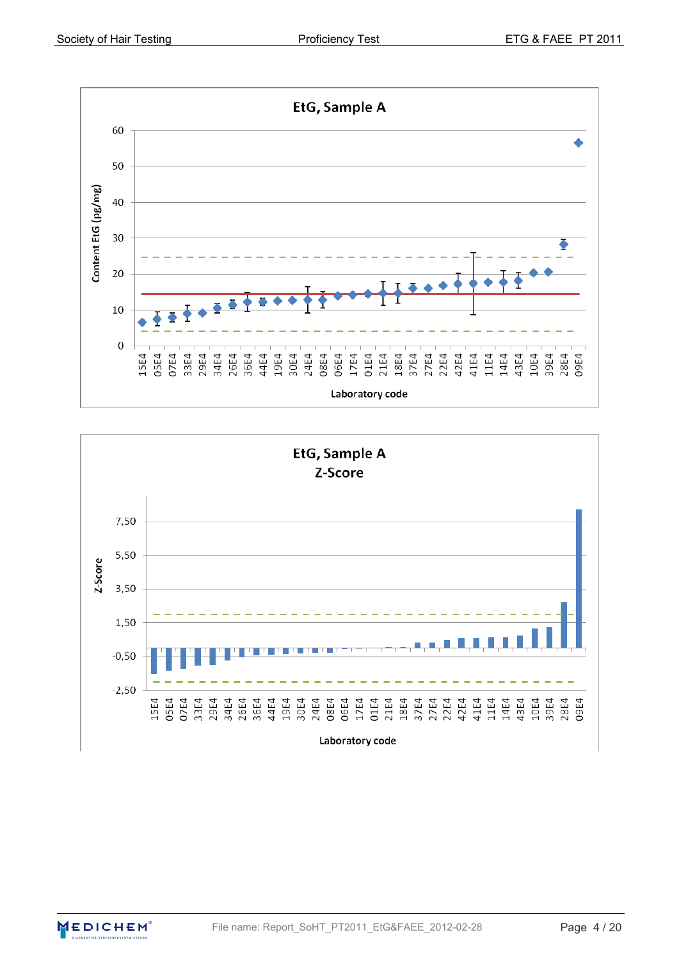



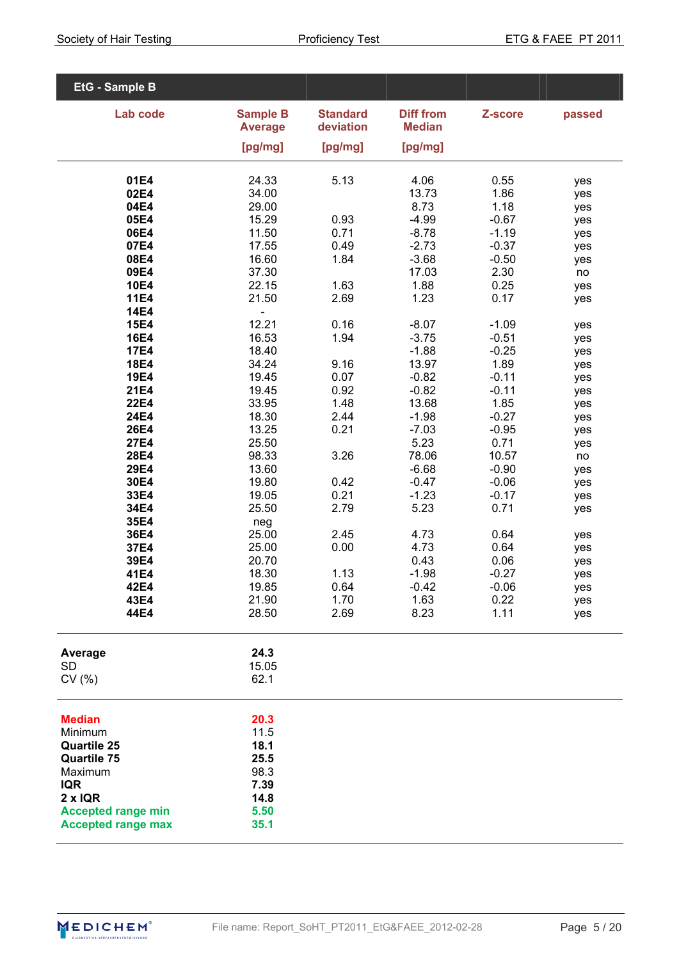| EtG - Sample B             |                                   |                              |                                   |                    |            |
|----------------------------|-----------------------------------|------------------------------|-----------------------------------|--------------------|------------|
| Lab code                   | <b>Sample B</b><br><b>Average</b> | <b>Standard</b><br>deviation | <b>Diff from</b><br><b>Median</b> | Z-score            | passed     |
|                            |                                   |                              |                                   |                    |            |
|                            | [pg/mg]                           | [pg/mg]                      | [pg/mg]                           |                    |            |
| 01E4                       | 24.33                             | 5.13                         | 4.06                              | 0.55               | yes        |
| 02E4                       | 34.00                             |                              | 13.73                             | 1.86               | yes        |
| 04E4                       | 29.00                             |                              | 8.73                              | 1.18               | yes        |
| 05E4                       | 15.29                             | 0.93                         | $-4.99$                           | $-0.67$            | yes        |
| 06E4<br>07E4               | 11.50<br>17.55                    | 0.71<br>0.49                 | $-8.78$<br>$-2.73$                | $-1.19$<br>$-0.37$ | yes<br>yes |
| 08E4                       | 16.60                             | 1.84                         | $-3.68$                           | $-0.50$            | yes        |
| 09E4                       | 37.30                             |                              | 17.03                             | 2.30               | no         |
| <b>10E4</b>                | 22.15                             | 1.63                         | 1.88                              | 0.25               | yes        |
| <b>11E4</b>                | 21.50                             | 2.69                         | 1.23                              | 0.17               | yes        |
| <b>14E4</b><br><b>15E4</b> | $\overline{\phantom{0}}$<br>12.21 | 0.16                         | $-8.07$                           | $-1.09$            |            |
| <b>16E4</b>                | 16.53                             | 1.94                         | $-3.75$                           | $-0.51$            | yes<br>yes |
| <b>17E4</b>                | 18.40                             |                              | $-1.88$                           | $-0.25$            | yes        |
| <b>18E4</b>                | 34.24                             | 9.16                         | 13.97                             | 1.89               | yes        |
| <b>19E4</b>                | 19.45                             | 0.07                         | $-0.82$                           | $-0.11$            | yes        |
| <b>21E4</b>                | 19.45                             | 0.92                         | $-0.82$                           | $-0.11$            | yes        |
| <b>22E4</b><br><b>24E4</b> | 33.95                             | 1.48<br>2.44                 | 13.68                             | 1.85<br>$-0.27$    | yes        |
| <b>26E4</b>                | 18.30<br>13.25                    | 0.21                         | $-1.98$<br>$-7.03$                | $-0.95$            | yes<br>yes |
| <b>27E4</b>                | 25.50                             |                              | 5.23                              | 0.71               | yes        |
| <b>28E4</b>                | 98.33                             | 3.26                         | 78.06                             | 10.57              | no         |
| 29E4                       | 13.60                             |                              | $-6.68$                           | $-0.90$            | yes        |
| 30E4                       | 19.80                             | 0.42                         | $-0.47$                           | $-0.06$            | yes        |
| 33E4<br>34E4               | 19.05<br>25.50                    | 0.21<br>2.79                 | $-1.23$<br>5.23                   | $-0.17$<br>0.71    | yes        |
| 35E4                       | neg                               |                              |                                   |                    | yes        |
| 36E4                       | 25.00                             | 2.45                         | 4.73                              | 0.64               | yes        |
| 37E4                       | 25.00                             | 0.00                         | 4.73                              | 0.64               | yes        |
| 39E4                       | 20.70                             |                              | 0.43                              | 0.06               | yes        |
| 41E4                       | 18.30                             | 1.13                         | $-1.98$                           | $-0.27$            | yes        |
| 42E4<br>43E4               | 19.85<br>21.90                    | 0.64<br>1.70                 | $-0.42$<br>1.63                   | $-0.06$<br>0.22    | yes<br>yes |
| 44E4                       | 28.50                             | 2.69                         | 8.23                              | 1.11               | yes        |
|                            | 24.3                              |                              |                                   |                    |            |
| Average<br><b>SD</b>       | 15.05                             |                              |                                   |                    |            |
| CV(% )                     | 62.1                              |                              |                                   |                    |            |
| <b>Median</b>              | 20.3                              |                              |                                   |                    |            |
| Minimum                    | 11.5                              |                              |                                   |                    |            |
| <b>Quartile 25</b>         | 18.1                              |                              |                                   |                    |            |
| <b>Quartile 75</b>         | 25.5                              |                              |                                   |                    |            |
| Maximum<br><b>IQR</b>      | 98.3<br>7.39                      |                              |                                   |                    |            |
| $2 \times IQR$             | 14.8                              |                              |                                   |                    |            |
| <b>Accepted range min</b>  | 5.50                              |                              |                                   |                    |            |
| <b>Accepted range max</b>  | 35.1                              |                              |                                   |                    |            |

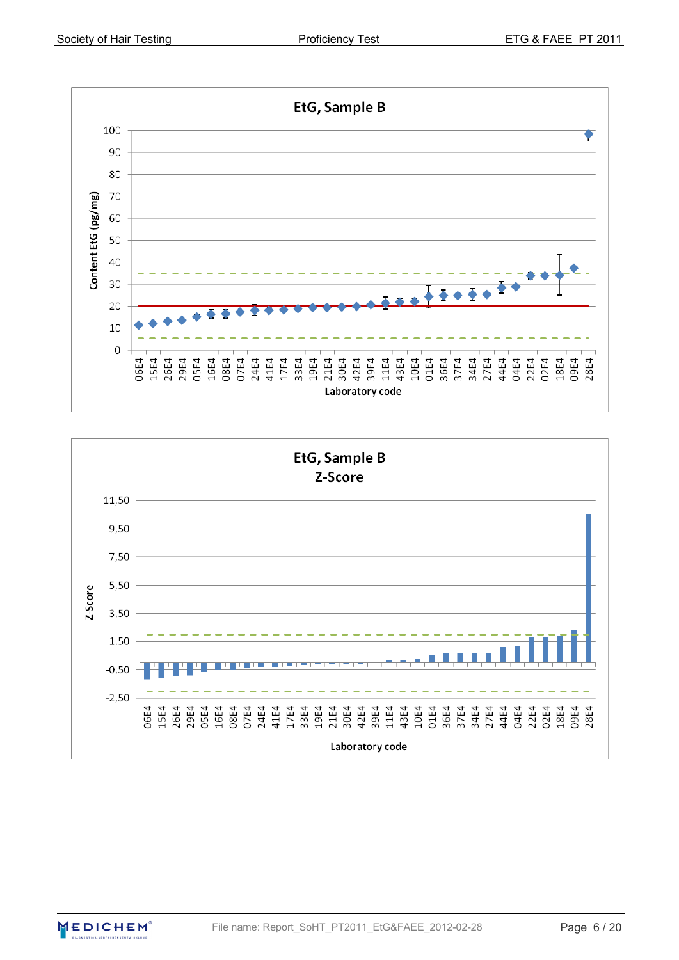



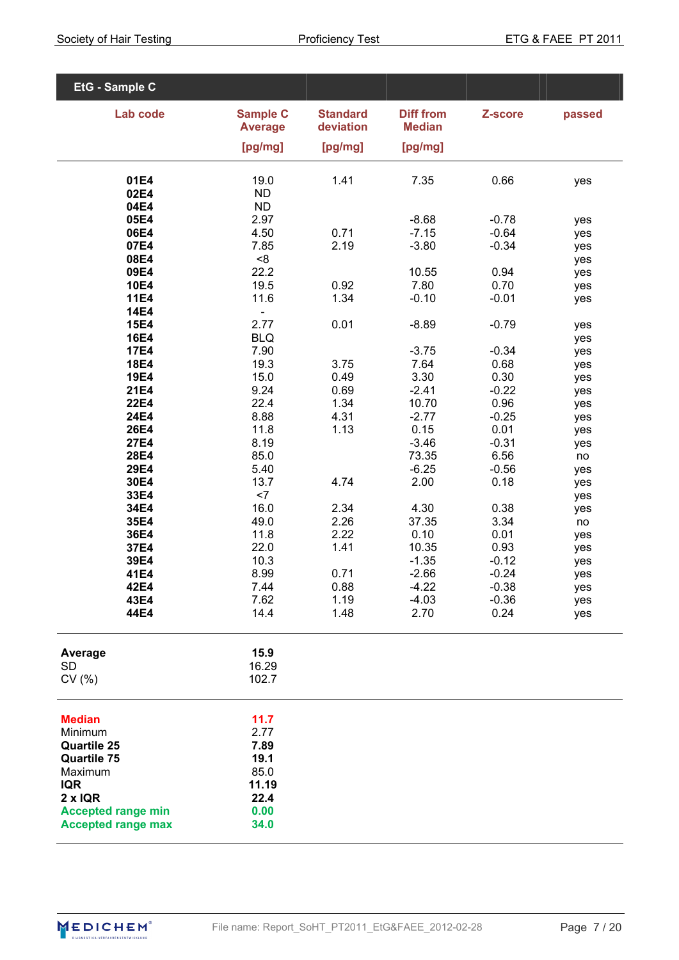| EtG - Sample C                                                                                                                                                            |                                                                       |                              |                                     |                                    |                          |
|---------------------------------------------------------------------------------------------------------------------------------------------------------------------------|-----------------------------------------------------------------------|------------------------------|-------------------------------------|------------------------------------|--------------------------|
| Lab code                                                                                                                                                                  | <b>Sample C</b><br><b>Average</b><br>[pg/mg]                          | <b>Standard</b><br>deviation | <b>Diff from</b><br><b>Median</b>   | Z-score                            | passed                   |
|                                                                                                                                                                           |                                                                       | [pg/mg]                      | [pg/mg]                             |                                    |                          |
| 01E4<br>02E4<br>04E4                                                                                                                                                      | 19.0<br><b>ND</b><br><b>ND</b>                                        | 1.41                         | 7.35                                | 0.66                               | yes                      |
| 05E4<br>06E4<br>07E4                                                                                                                                                      | 2.97<br>4.50<br>7.85                                                  | 0.71<br>2.19                 | $-8.68$<br>$-7.15$<br>$-3.80$       | $-0.78$<br>$-0.64$<br>$-0.34$      | yes<br>yes<br>yes        |
| 08E4<br>09E4<br><b>10E4</b><br><b>11E4</b>                                                                                                                                | < 8<br>22.2<br>19.5<br>11.6                                           | 0.92<br>1.34                 | 10.55<br>7.80<br>$-0.10$            | 0.94<br>0.70<br>$-0.01$            | yes<br>yes<br>yes<br>yes |
| <b>14E4</b><br><b>15E4</b><br><b>16E4</b>                                                                                                                                 | 2.77<br><b>BLQ</b>                                                    | 0.01                         | $-8.89$                             | $-0.79$                            | yes<br>yes               |
| <b>17E4</b><br><b>18E4</b><br><b>19E4</b><br><b>21E4</b>                                                                                                                  | 7.90<br>19.3<br>15.0<br>9.24                                          | 3.75<br>0.49<br>0.69         | $-3.75$<br>7.64<br>3.30<br>$-2.41$  | $-0.34$<br>0.68<br>0.30<br>$-0.22$ | yes<br>yes<br>yes<br>yes |
| <b>22E4</b><br><b>24E4</b><br><b>26E4</b><br><b>27E4</b>                                                                                                                  | 22.4<br>8.88<br>11.8<br>8.19                                          | 1.34<br>4.31<br>1.13         | 10.70<br>$-2.77$<br>0.15<br>$-3.46$ | 0.96<br>$-0.25$<br>0.01<br>$-0.31$ | yes<br>yes<br>yes<br>yes |
| <b>28E4</b><br>29E4<br>30E4                                                                                                                                               | 85.0<br>5.40<br>13.7                                                  | 4.74                         | 73.35<br>$-6.25$<br>2.00            | 6.56<br>$-0.56$<br>0.18            | no<br>yes<br>yes         |
| 33E4<br>34E4<br>35E4<br>36E4                                                                                                                                              | $<$ 7<br>16.0<br>49.0<br>11.8                                         | 2.34<br>2.26<br>2.22         | 4.30<br>37.35<br>0.10               | 0.38<br>3.34<br>0.01               | yes<br>yes<br>no<br>yes  |
| 37E4<br>39E4<br>41E4                                                                                                                                                      | 22.0<br>10.3<br>8.99                                                  | 1.41<br>0.71                 | 10.35<br>$-1.35$<br>$-2.66$         | 0.93<br>$-0.12$<br>$-0.24$         | yes<br>yes<br>yes        |
| 42E4<br>43E4<br>44E4                                                                                                                                                      | 7.44<br>7.62<br>14.4                                                  | 0.88<br>1.19<br>1.48         | $-4.22$<br>$-4.03$<br>2.70          | $-0.38$<br>$-0.36$<br>0.24         | yes<br>yes<br>yes        |
| Average<br><b>SD</b><br>CV(%)                                                                                                                                             | 15.9<br>16.29<br>102.7                                                |                              |                                     |                                    |                          |
| <b>Median</b><br>Minimum<br><b>Quartile 25</b><br><b>Quartile 75</b><br>Maximum<br><b>IQR</b><br>$2 \times IQR$<br><b>Accepted range min</b><br><b>Accepted range max</b> | 11.7<br>2.77<br>7.89<br>19.1<br>85.0<br>11.19<br>22.4<br>0.00<br>34.0 |                              |                                     |                                    |                          |

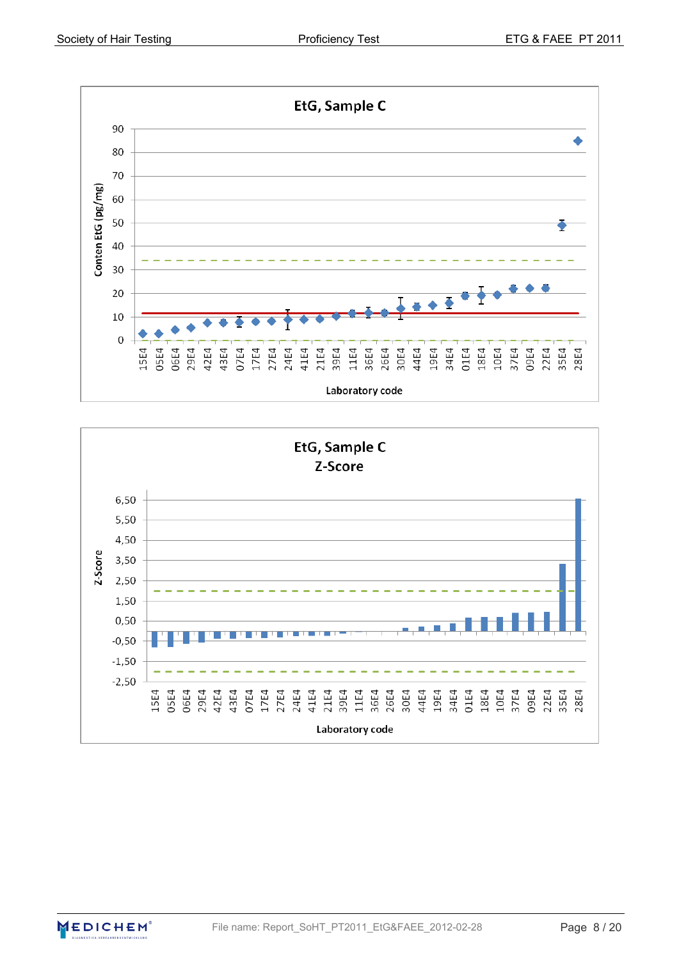



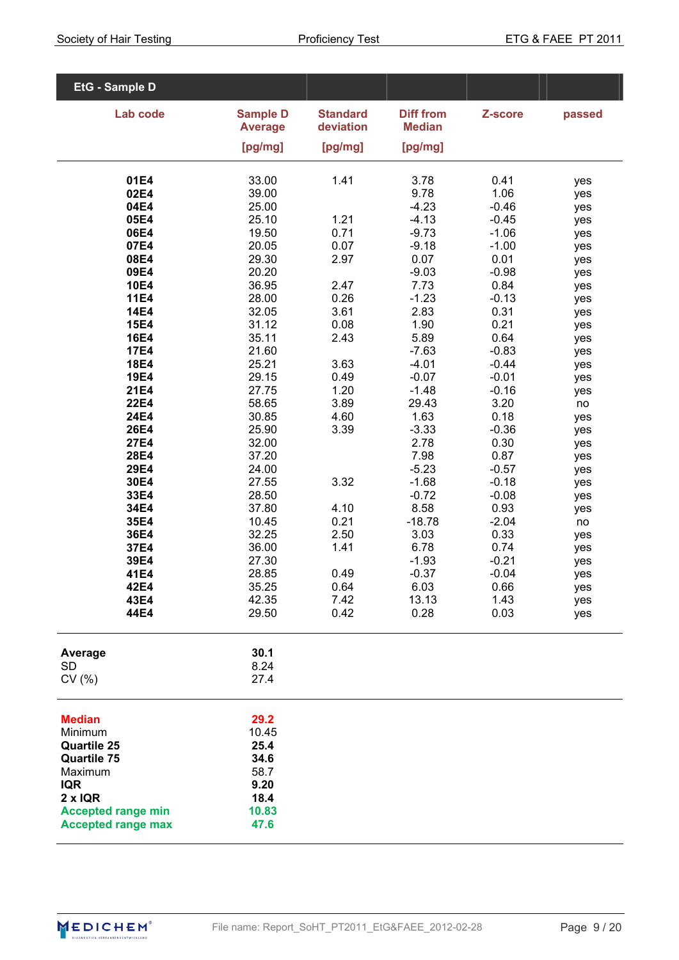| EtG - Sample D               |                                   |                              |                                   |                    |            |
|------------------------------|-----------------------------------|------------------------------|-----------------------------------|--------------------|------------|
| Lab code                     | <b>Sample D</b><br><b>Average</b> | <b>Standard</b><br>deviation | <b>Diff from</b><br><b>Median</b> | Z-score            | passed     |
|                              |                                   |                              |                                   |                    |            |
|                              | [pg/mg]                           | [pg/mg]                      | [pg/mg]                           |                    |            |
| 01E4                         | 33.00                             | 1.41                         | 3.78                              | 0.41               | yes        |
| 02E4                         | 39.00                             |                              | 9.78                              | 1.06               | yes        |
| 04E4                         | 25.00                             |                              | $-4.23$                           | $-0.46$            | yes        |
| 05E4<br>06E4                 | 25.10<br>19.50                    | 1.21                         | $-4.13$                           | $-0.45$<br>$-1.06$ | yes        |
| 07E4                         | 20.05                             | 0.71<br>0.07                 | $-9.73$<br>$-9.18$                | $-1.00$            | yes<br>yes |
| 08E4                         | 29.30                             | 2.97                         | 0.07                              | 0.01               | yes        |
| 09E4                         | 20.20                             |                              | $-9.03$                           | $-0.98$            | yes        |
| <b>10E4</b>                  | 36.95                             | 2.47                         | 7.73                              | 0.84               | yes        |
| <b>11E4</b><br><b>14E4</b>   | 28.00<br>32.05                    | 0.26<br>3.61                 | $-1.23$<br>2.83                   | $-0.13$<br>0.31    | yes        |
| <b>15E4</b>                  | 31.12                             | 0.08                         | 1.90                              | 0.21               | yes<br>yes |
| <b>16E4</b>                  | 35.11                             | 2.43                         | 5.89                              | 0.64               | yes        |
| <b>17E4</b>                  | 21.60                             |                              | $-7.63$                           | $-0.83$            | yes        |
| <b>18E4</b>                  | 25.21                             | 3.63                         | $-4.01$                           | $-0.44$            | yes        |
| <b>19E4</b><br><b>21E4</b>   | 29.15<br>27.75                    | 0.49<br>1.20                 | $-0.07$<br>$-1.48$                | $-0.01$<br>$-0.16$ | yes        |
| <b>22E4</b>                  | 58.65                             | 3.89                         | 29.43                             | 3.20               | yes<br>no  |
| <b>24E4</b>                  | 30.85                             | 4.60                         | 1.63                              | 0.18               | yes        |
| <b>26E4</b>                  | 25.90                             | 3.39                         | $-3.33$                           | $-0.36$            | yes        |
| <b>27E4</b>                  | 32.00                             |                              | 2.78                              | 0.30               | yes        |
| 28E4<br>29E4                 | 37.20<br>24.00                    |                              | 7.98<br>$-5.23$                   | 0.87<br>$-0.57$    | yes        |
| 30E4                         | 27.55                             | 3.32                         | $-1.68$                           | $-0.18$            | yes<br>yes |
| 33E4                         | 28.50                             |                              | $-0.72$                           | $-0.08$            | yes        |
| 34E4                         | 37.80                             | 4.10                         | 8.58                              | 0.93               | yes        |
| 35E4                         | 10.45                             | 0.21                         | $-18.78$                          | $-2.04$            | no         |
| 36E4<br>37E4                 | 32.25<br>36.00                    | 2.50<br>1.41                 | 3.03<br>6.78                      | 0.33<br>0.74       | yes<br>yes |
| 39E4                         | 27.30                             |                              | $-1.93$                           | $-0.21$            | yes        |
| 41E4                         | 28.85                             | 0.49                         | $-0.37$                           | $-0.04$            | yes        |
| 42E4                         | 35.25                             | 0.64                         | 6.03                              | 0.66               | yes        |
| 43E4                         | 42.35                             | 7.42                         | 13.13                             | 1.43<br>0.03       | yes        |
| 44E4                         | 29.50                             | 0.42                         | 0.28                              |                    | yes        |
| Average                      | 30.1                              |                              |                                   |                    |            |
| <b>SD</b>                    | 8.24                              |                              |                                   |                    |            |
| CV(% )                       | 27.4                              |                              |                                   |                    |            |
| <b>Median</b>                | 29.2                              |                              |                                   |                    |            |
| Minimum                      | 10.45                             |                              |                                   |                    |            |
| <b>Quartile 25</b>           | 25.4                              |                              |                                   |                    |            |
| <b>Quartile 75</b>           | 34.6                              |                              |                                   |                    |            |
| Maximum                      | 58.7                              |                              |                                   |                    |            |
| <b>IQR</b><br>$2 \times IQR$ | 9.20<br>18.4                      |                              |                                   |                    |            |
| <b>Accepted range min</b>    | 10.83                             |                              |                                   |                    |            |
| <b>Accepted range max</b>    | 47.6                              |                              |                                   |                    |            |
|                              |                                   |                              |                                   |                    |            |

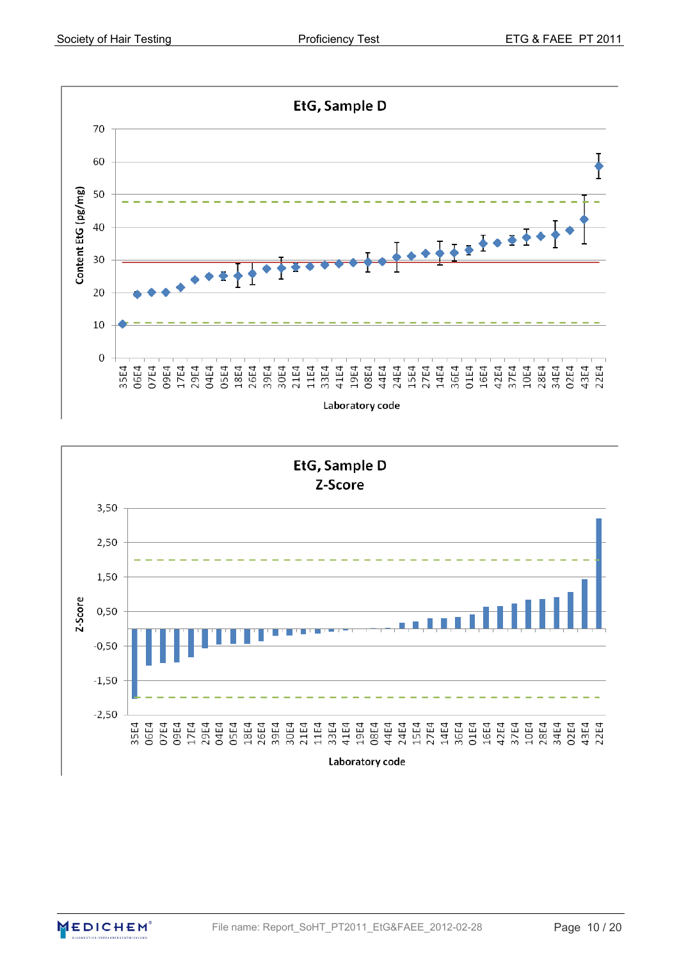

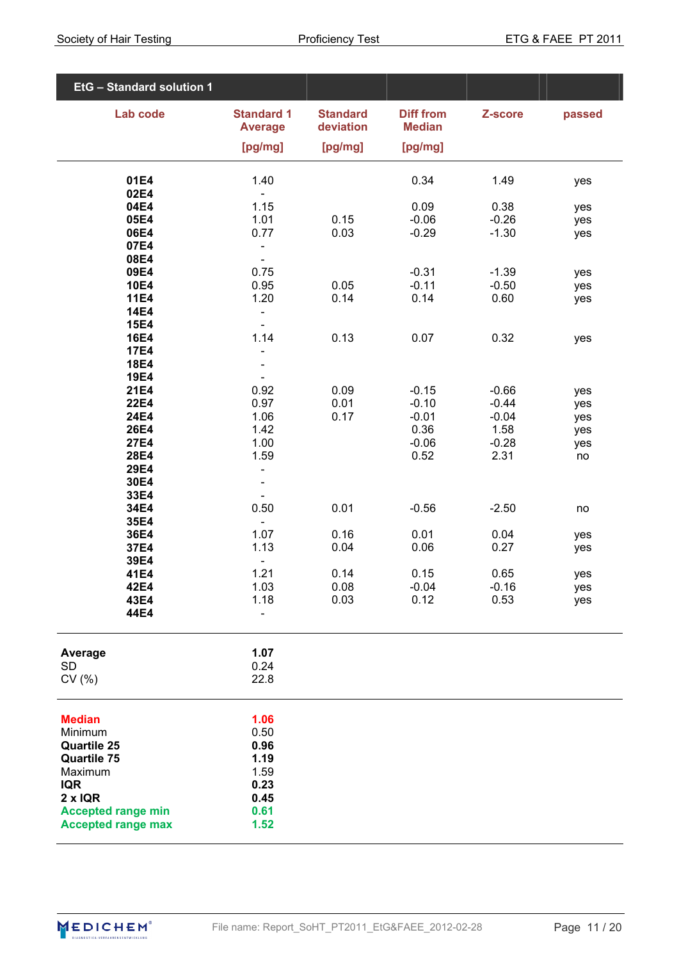| EtG - Standard solution 1                   |                                                          |                                         |                                              |                    |            |
|---------------------------------------------|----------------------------------------------------------|-----------------------------------------|----------------------------------------------|--------------------|------------|
| Lab code                                    | <b>Standard 1</b><br><b>Average</b><br>[pg/mg]           | <b>Standard</b><br>deviation<br>[pg/mg] | <b>Diff from</b><br><b>Median</b><br>[pg/mg] | Z-score            | passed     |
|                                             |                                                          |                                         |                                              |                    |            |
| 01E4                                        | 1.40                                                     |                                         | 0.34                                         | 1.49               | yes        |
| 02E4<br>04E4                                | $\blacksquare$<br>1.15                                   |                                         | 0.09                                         | 0.38               | yes        |
| 05E4                                        | 1.01                                                     | 0.15                                    | $-0.06$                                      | $-0.26$            | yes        |
| 06E4                                        | 0.77                                                     | 0.03                                    | $-0.29$                                      | $-1.30$            | yes        |
| 07E4<br>08E4                                | $\qquad \qquad -$<br>$\blacksquare$                      |                                         |                                              |                    |            |
| 09E4                                        | 0.75                                                     |                                         | $-0.31$                                      | $-1.39$            | yes        |
| <b>10E4</b><br><b>11E4</b>                  | 0.95<br>1.20                                             | 0.05<br>0.14                            | $-0.11$<br>0.14                              | $-0.50$<br>0.60    | yes        |
| <b>14E4</b>                                 | $\overline{\phantom{0}}$                                 |                                         |                                              |                    | yes        |
| <b>15E4</b>                                 | $\qquad \qquad \blacksquare$                             |                                         |                                              |                    |            |
| <b>16E4</b><br><b>17E4</b>                  | 1.14                                                     | 0.13                                    | 0.07                                         | 0.32               | yes        |
| <b>18E4</b>                                 | $\overline{\phantom{0}}$                                 |                                         |                                              |                    |            |
| <b>19E4</b>                                 | $\overline{\phantom{0}}$                                 |                                         |                                              |                    |            |
| 21E4<br><b>22E4</b>                         | 0.92<br>0.97                                             | 0.09<br>0.01                            | $-0.15$<br>$-0.10$                           | $-0.66$<br>$-0.44$ | yes<br>yes |
| 24E4                                        | 1.06                                                     | 0.17                                    | $-0.01$                                      | $-0.04$            | yes        |
| <b>26E4</b><br><b>27E4</b>                  | 1.42<br>1.00                                             |                                         | 0.36<br>$-0.06$                              | 1.58<br>$-0.28$    | yes        |
| <b>28E4</b>                                 | 1.59                                                     |                                         | 0.52                                         | 2.31               | yes<br>no  |
| 29E4                                        | $\overline{\phantom{0}}$                                 |                                         |                                              |                    |            |
| 30E4<br>33E4                                | $\overline{\phantom{0}}$<br>$\qquad \qquad \blacksquare$ |                                         |                                              |                    |            |
| 34E4                                        | 0.50                                                     | 0.01                                    | $-0.56$                                      | $-2.50$            | no         |
| 35E4                                        | $\blacksquare$                                           |                                         |                                              |                    |            |
| 36E4<br>37E4                                | 1.07<br>1.13                                             | 0.16<br>0.04                            | 0.01<br>0.06                                 | 0.04<br>0.27       | yes<br>yes |
| 39E4                                        | $\blacksquare$                                           |                                         |                                              |                    |            |
| 41E4                                        | 1.21                                                     | 0.14                                    | 0.15                                         | 0.65               | yes        |
| 42E4<br>43E4                                | 1.03<br>1.18                                             | 0.08<br>0.03                            | $-0.04$<br>0.12                              | $-0.16$<br>0.53    | yes<br>yes |
| 44E4                                        |                                                          |                                         |                                              |                    |            |
| Average                                     | 1.07                                                     |                                         |                                              |                    |            |
| <b>SD</b><br>CV(% )                         | 0.24<br>22.8                                             |                                         |                                              |                    |            |
| <b>Median</b><br>Minimum                    | 1.06<br>0.50                                             |                                         |                                              |                    |            |
| <b>Quartile 25</b><br><b>Quartile 75</b>    | 0.96<br>1.19                                             |                                         |                                              |                    |            |
| Maximum                                     | 1.59                                                     |                                         |                                              |                    |            |
| <b>IQR</b>                                  | 0.23                                                     |                                         |                                              |                    |            |
| $2 \times IQR$<br><b>Accepted range min</b> | 0.45<br>0.61                                             |                                         |                                              |                    |            |
| <b>Accepted range max</b>                   | 1.52                                                     |                                         |                                              |                    |            |

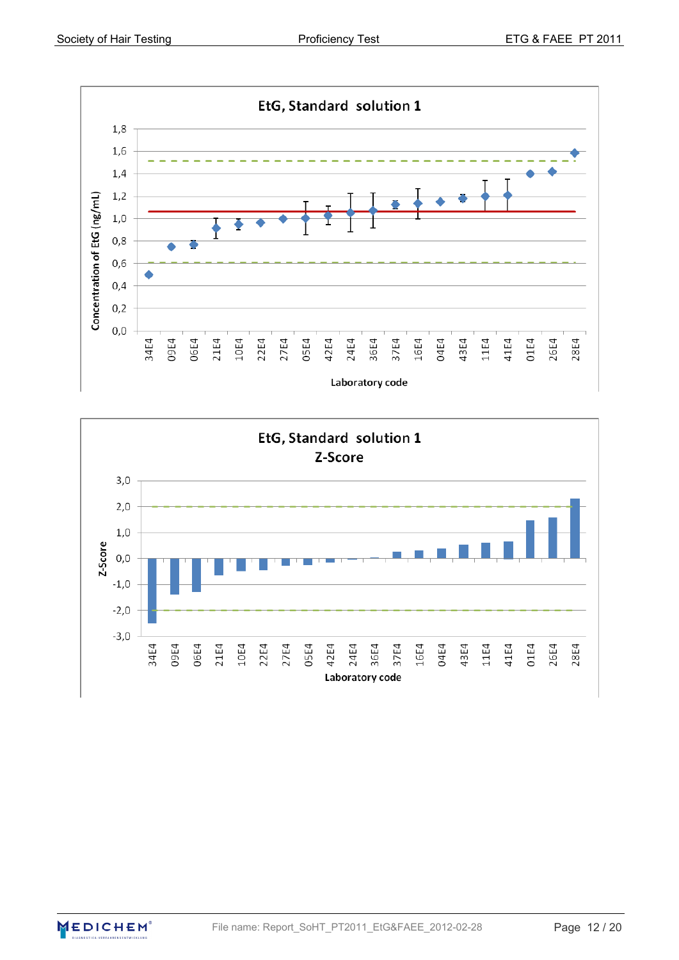



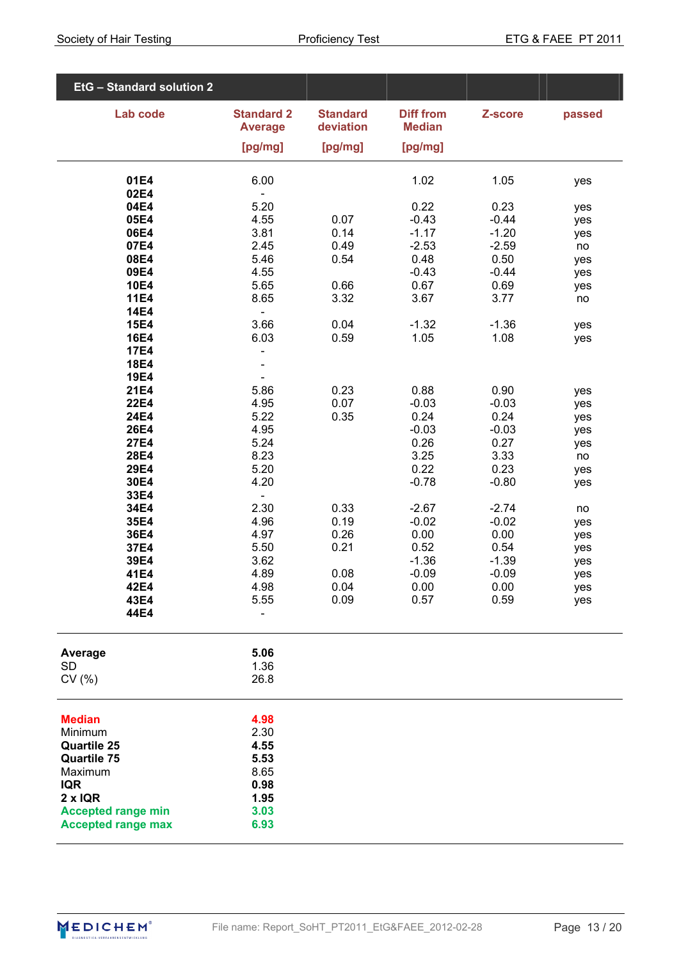| EtG - Standard solution 2                                                              |                                      |                              |                                   |                    |            |
|----------------------------------------------------------------------------------------|--------------------------------------|------------------------------|-----------------------------------|--------------------|------------|
| Lab code                                                                               | <b>Standard 2</b><br><b>Average</b>  | <b>Standard</b><br>deviation | <b>Diff from</b><br><b>Median</b> | Z-score            | passed     |
|                                                                                        | [pg/mg]                              | [pg/mg]                      | [pg/mg]                           |                    |            |
| 01E4<br>02E4                                                                           | 6.00                                 |                              | 1.02                              | 1.05               | yes        |
| 04E4                                                                                   | $\blacksquare$<br>5.20               |                              | 0.22                              | 0.23               | yes        |
| 05E4<br>06E4                                                                           | 4.55<br>3.81                         | 0.07<br>0.14                 | $-0.43$<br>$-1.17$                | $-0.44$<br>$-1.20$ | yes<br>yes |
| 07E4                                                                                   | 2.45                                 | 0.49                         | $-2.53$                           | $-2.59$            | no         |
| 08E4<br>09E4                                                                           | 5.46<br>4.55                         | 0.54                         | 0.48<br>$-0.43$                   | 0.50<br>$-0.44$    | yes<br>yes |
| <b>10E4</b>                                                                            | 5.65                                 | 0.66                         | 0.67                              | 0.69               | yes        |
| <b>11E4</b><br><b>14E4</b>                                                             | 8.65<br>$\overline{a}$               | 3.32                         | 3.67                              | 3.77               | no         |
| <b>15E4</b><br><b>16E4</b>                                                             | 3.66<br>6.03                         | 0.04<br>0.59                 | $-1.32$<br>1.05                   | $-1.36$<br>1.08    | yes        |
| <b>17E4</b>                                                                            | $\overline{\phantom{0}}$             |                              |                                   |                    | yes        |
| <b>18E4</b><br><b>19E4</b>                                                             | Ē,<br>$\blacksquare$                 |                              |                                   |                    |            |
| <b>21E4</b>                                                                            | 5.86                                 | 0.23                         | 0.88                              | 0.90               | yes        |
| <b>22E4</b><br><b>24E4</b>                                                             | 4.95<br>5.22                         | 0.07<br>0.35                 | $-0.03$<br>0.24                   | $-0.03$<br>0.24    | yes<br>yes |
| <b>26E4</b>                                                                            | 4.95                                 |                              | $-0.03$                           | $-0.03$            | yes        |
| <b>27E4</b><br>28E4                                                                    | 5.24<br>8.23                         |                              | 0.26<br>3.25                      | 0.27<br>3.33       | yes<br>no  |
| 29E4<br>30E4                                                                           | 5.20<br>4.20                         |                              | 0.22<br>$-0.78$                   | 0.23<br>$-0.80$    | yes<br>yes |
| 33E4                                                                                   | $\blacksquare$                       |                              |                                   |                    |            |
| 34E4<br>35E4                                                                           | 2.30<br>4.96                         | 0.33<br>0.19                 | $-2.67$<br>$-0.02$                | $-2.74$<br>$-0.02$ | no<br>yes  |
| 36E4                                                                                   | 4.97                                 | 0.26                         | 0.00                              | 0.00               | yes        |
| 37E4<br>39E4                                                                           | 5.50<br>3.62                         | 0.21                         | 0.52<br>$-1.36$                   | 0.54<br>$-1.39$    | yes<br>yes |
| 41E4<br>42E4                                                                           | 4.89<br>4.98                         | 0.08<br>0.04                 | $-0.09$<br>0.00                   | $-0.09$<br>0.00    | yes        |
| 43E4                                                                                   | 5.55                                 | 0.09                         | 0.57                              | 0.59               | yes<br>yes |
| 44E4                                                                                   |                                      |                              |                                   |                    |            |
| Average                                                                                | 5.06                                 |                              |                                   |                    |            |
| <b>SD</b><br>CV(% )                                                                    | 1.36<br>26.8                         |                              |                                   |                    |            |
| <b>Median</b><br>Minimum<br><b>Quartile 25</b><br><b>Quartile 75</b><br>Maximum        | 4.98<br>2.30<br>4.55<br>5.53<br>8.65 |                              |                                   |                    |            |
| <b>IQR</b><br>$2 \times IQR$<br><b>Accepted range min</b><br><b>Accepted range max</b> | 0.98<br>1.95<br>3.03<br>6.93         |                              |                                   |                    |            |

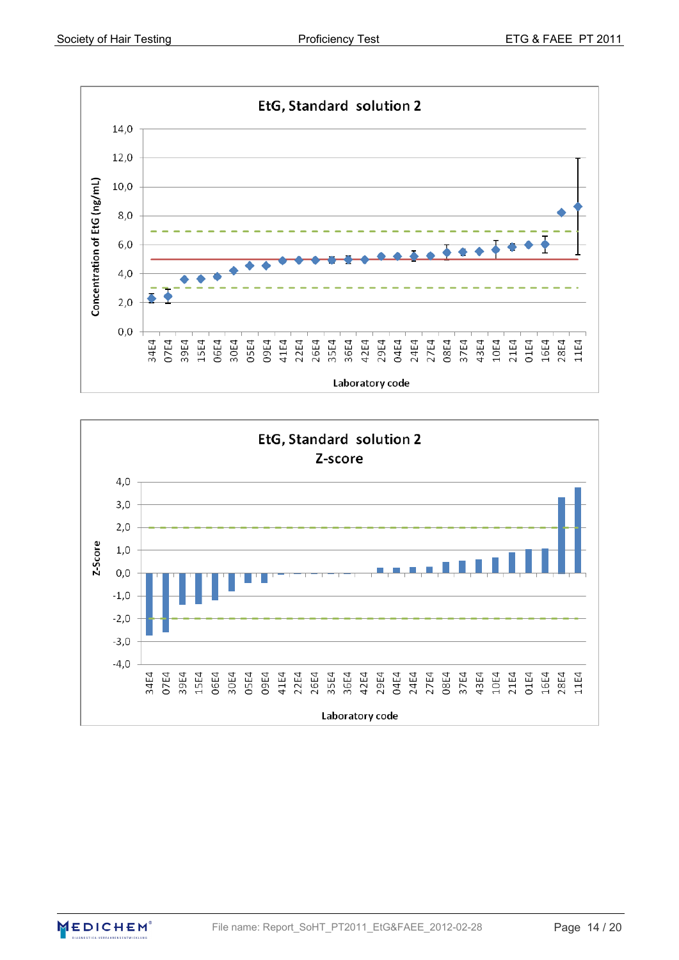



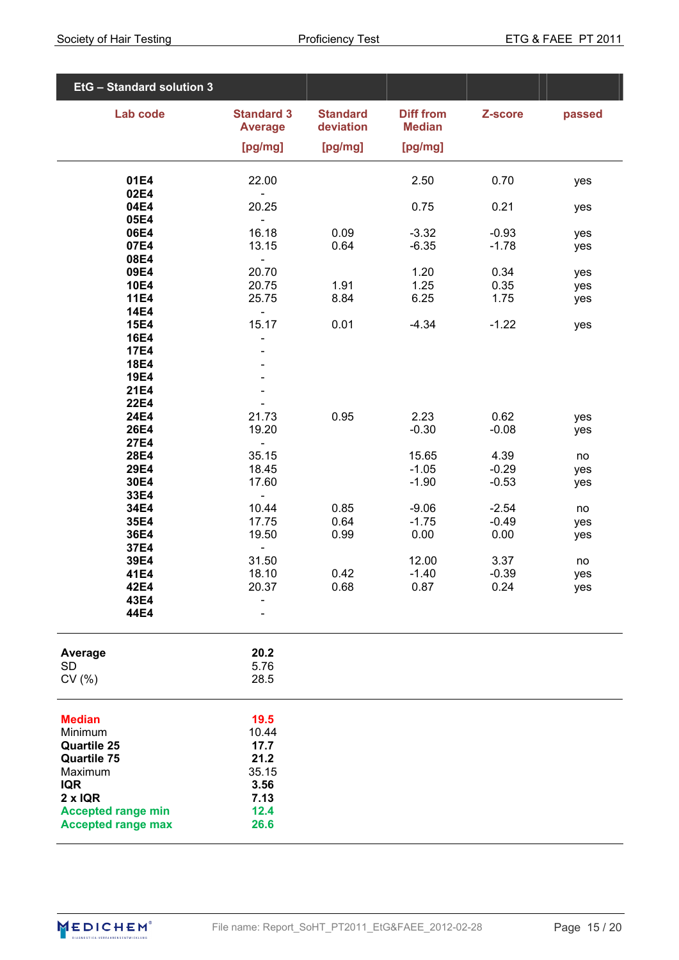| EtG - Standard solution 3     |                                       |                              |                                   |                 |            |
|-------------------------------|---------------------------------------|------------------------------|-----------------------------------|-----------------|------------|
| Lab code                      | <b>Standard 3</b><br><b>Average</b>   | <b>Standard</b><br>deviation | <b>Diff from</b><br><b>Median</b> | Z-score         | passed     |
|                               | [pg/mg]                               | [pg/mg]                      | [pg/mg]                           |                 |            |
| 01E4                          | 22.00                                 |                              | 2.50                              | 0.70            | yes        |
| 02E4<br>04E4                  | 20.25                                 |                              | 0.75                              | 0.21            | yes        |
| 05E4<br>06E4                  | $\blacksquare$<br>16.18               | 0.09                         | $-3.32$                           | $-0.93$         | yes        |
| 07E4<br>08E4                  | 13.15                                 | 0.64                         | $-6.35$                           | $-1.78$         | yes        |
| 09E4                          | $\blacksquare$<br>20.70               |                              | 1.20                              | 0.34            | yes        |
| <b>10E4</b><br><b>11E4</b>    | 20.75<br>25.75                        | 1.91<br>8.84                 | 1.25<br>6.25                      | 0.35<br>1.75    | yes<br>yes |
| <b>14E4</b><br><b>15E4</b>    | $\qquad \qquad \blacksquare$<br>15.17 | 0.01                         | $-4.34$                           | $-1.22$         | yes        |
| <b>16E4</b><br><b>17E4</b>    |                                       |                              |                                   |                 |            |
| <b>18E4</b>                   |                                       |                              |                                   |                 |            |
| <b>19E4</b><br>21E4           |                                       |                              |                                   |                 |            |
| <b>22E4</b><br>24E4           | 21.73                                 | 0.95                         | 2.23                              | 0.62            | yes        |
| <b>26E4</b><br><b>27E4</b>    | 19.20<br>$\qquad \qquad -$            |                              | $-0.30$                           | $-0.08$         | yes        |
| 28E4<br>29E4                  | 35.15<br>18.45                        |                              | 15.65<br>$-1.05$                  | 4.39<br>$-0.29$ | no<br>yes  |
| 30E4                          | 17.60                                 |                              | $-1.90$                           | $-0.53$         | yes        |
| 33E4<br>34E4                  | $\blacksquare$<br>10.44               | 0.85                         | $-9.06$                           | $-2.54$         | no         |
| 35E4<br>36E4                  | 17.75<br>19.50                        | 0.64<br>0.99                 | $-1.75$<br>0.00                   | $-0.49$<br>0.00 | yes<br>yes |
| 37E4<br>39E4                  | $\frac{1}{2}$<br>31.50                |                              | 12.00                             | 3.37            | no         |
| 41E4<br>42E4                  | 18.10<br>20.37                        | 0.42<br>0.68                 | $-1.40$<br>0.87                   | $-0.39$<br>0.24 | yes<br>yes |
| 43E4                          |                                       |                              |                                   |                 |            |
| 44E4                          |                                       |                              |                                   |                 |            |
| Average                       | 20.2                                  |                              |                                   |                 |            |
| <b>SD</b><br>CV(% )           | 5.76<br>28.5                          |                              |                                   |                 |            |
| <b>Median</b>                 | 19.5                                  |                              |                                   |                 |            |
| Minimum<br><b>Quartile 25</b> | 10.44<br>17.7                         |                              |                                   |                 |            |
| <b>Quartile 75</b><br>Maximum | 21.2<br>35.15                         |                              |                                   |                 |            |
| <b>IQR</b><br>$2 \times IQR$  | 3.56<br>7.13                          |                              |                                   |                 |            |
| <b>Accepted range min</b>     | 12.4                                  |                              |                                   |                 |            |
| <b>Accepted range max</b>     | 26.6                                  |                              |                                   |                 |            |

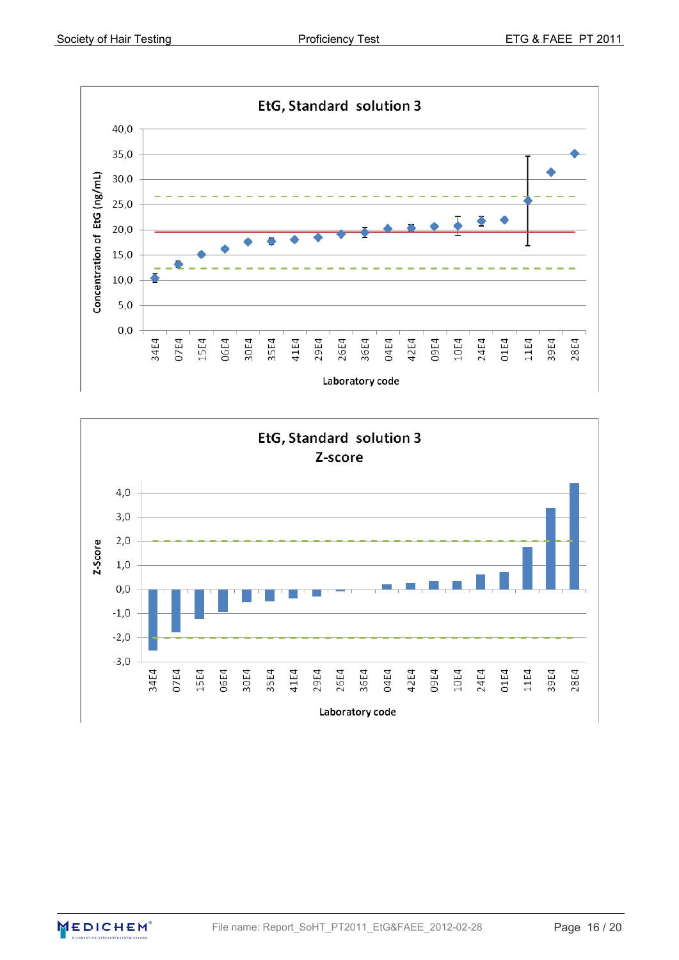

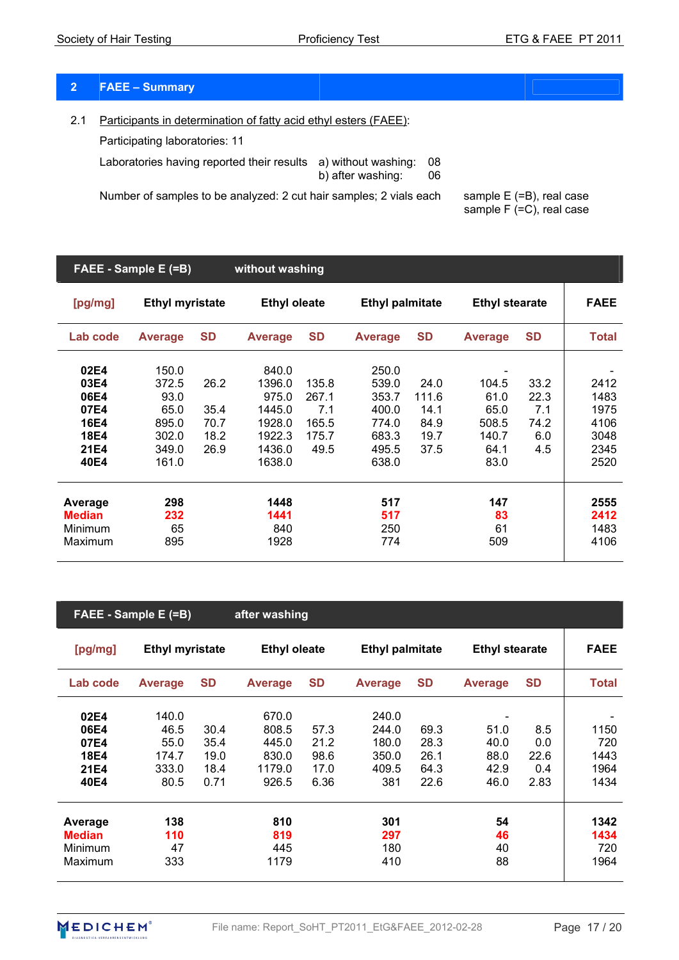# **2 FAEE – Summary**

2.1 Participants in determination of fatty acid ethyl esters (FAEE):

Participating laboratories: 11

Laboratories having reported their results a) without washing: 08 b) after washing: 06

Number of samples to be analyzed: 2 cut hair samples; 2 vials each sample  $E$  (=B), real case

sample  $F (=C)$ , real case

|                                                              | FAEE - Sample E (=B)                                               |                                      | without washing                                                            |                                                 |                                                                      |                                               |                                                         |                                           |                                                      |
|--------------------------------------------------------------|--------------------------------------------------------------------|--------------------------------------|----------------------------------------------------------------------------|-------------------------------------------------|----------------------------------------------------------------------|-----------------------------------------------|---------------------------------------------------------|-------------------------------------------|------------------------------------------------------|
| [pg/mg]                                                      | <b>Ethyl myristate</b>                                             |                                      | <b>Ethyl oleate</b>                                                        |                                                 | <b>Ethyl palmitate</b>                                               |                                               | <b>Ethyl stearate</b>                                   |                                           | <b>FAEE</b>                                          |
| Lab code                                                     | <b>Average</b>                                                     | <b>SD</b>                            | <b>Average</b>                                                             | <b>SD</b>                                       | <b>Average</b>                                                       | <b>SD</b>                                     | <b>Average</b>                                          | <b>SD</b>                                 | <b>Total</b>                                         |
| 02E4<br>03E4<br>06E4<br>07E4<br>16E4<br>18E4<br>21E4<br>40E4 | 150.0<br>372.5<br>93.0<br>65.0<br>895.0<br>302.0<br>349.0<br>161.0 | 26.2<br>35.4<br>70.7<br>18.2<br>26.9 | 840.0<br>1396.0<br>975.0<br>1445.0<br>1928.0<br>1922.3<br>1436.0<br>1638.0 | 135.8<br>267.1<br>7.1<br>165.5<br>175.7<br>49.5 | 250.0<br>539.0<br>353.7<br>400.0<br>774.0<br>683.3<br>495.5<br>638.0 | 24.0<br>111.6<br>14.1<br>84.9<br>19.7<br>37.5 | 104.5<br>61.0<br>65.0<br>508.5<br>140.7<br>64.1<br>83.0 | 33.2<br>22.3<br>7.1<br>74.2<br>6.0<br>4.5 | 2412<br>1483<br>1975<br>4106<br>3048<br>2345<br>2520 |
| Average<br><b>Median</b><br>Minimum<br>Maximum               | 298<br>232<br>65<br>895                                            |                                      | 1448<br>1441<br>840<br>1928                                                |                                                 | 517<br>517<br>250<br>774                                             |                                               | 147<br>83<br>61<br>509                                  |                                           | 2555<br>2412<br>1483<br>4106                         |

|               | FAEE - Sample E (=B)   |           | after washing       |           |                        |           |                       |           |              |
|---------------|------------------------|-----------|---------------------|-----------|------------------------|-----------|-----------------------|-----------|--------------|
| [pg/mg]       | <b>Ethyl myristate</b> |           | <b>Ethyl oleate</b> |           | <b>Ethyl palmitate</b> |           | <b>Ethyl stearate</b> |           | <b>FAEE</b>  |
| Lab code      | <b>Average</b>         | <b>SD</b> | <b>Average</b>      | <b>SD</b> | <b>Average</b>         | <b>SD</b> | <b>Average</b>        | <b>SD</b> | <b>Total</b> |
| 02E4          | 140.0                  |           | 670.0               |           | 240.0                  |           |                       |           |              |
| 06E4          | 46.5                   | 30.4      | 808.5               | 57.3      | 244.0                  | 69.3      | 51.0                  | 8.5       | 1150         |
| 07E4          | 55.0                   | 35.4      | 445.0               | 21.2      | 180.0                  | 28.3      | 40.0                  | 0.0       | 720          |
| <b>18E4</b>   | 174.7                  | 19.0      | 830.0               | 98.6      | 350.0                  | 26.1      | 88.0                  | 22.6      | 1443         |
| 21E4          | 333.0                  | 18.4      | 1179.0              | 17.0      | 409.5                  | 64.3      | 42.9                  | 0.4       | 1964         |
| 40E4          | 80.5                   | 0.71      | 926.5               | 6.36      | 381                    | 22.6      | 46.0                  | 2.83      | 1434         |
| Average       | 138                    |           | 810                 |           | 301                    |           | 54                    |           | 1342         |
| <b>Median</b> | 110                    |           | 819                 |           | 297                    |           | 46                    |           | 1434         |
| Minimum       | 47                     |           | 445                 |           | 180                    |           | 40                    |           | 720          |
| Maximum       | 333                    |           | 1179                |           | 410                    |           | 88                    |           | 1964         |

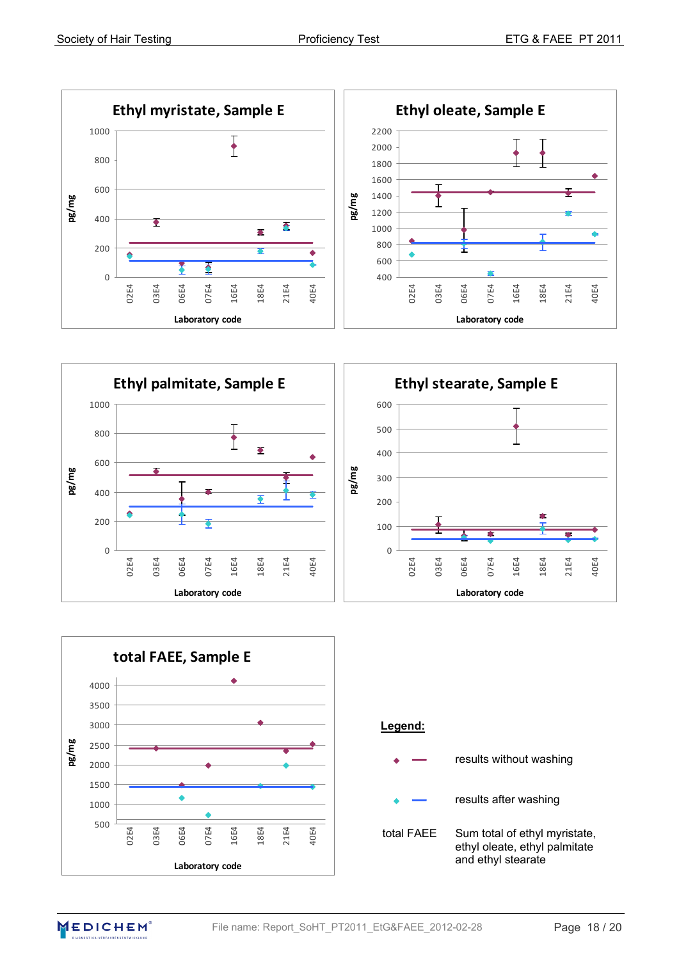



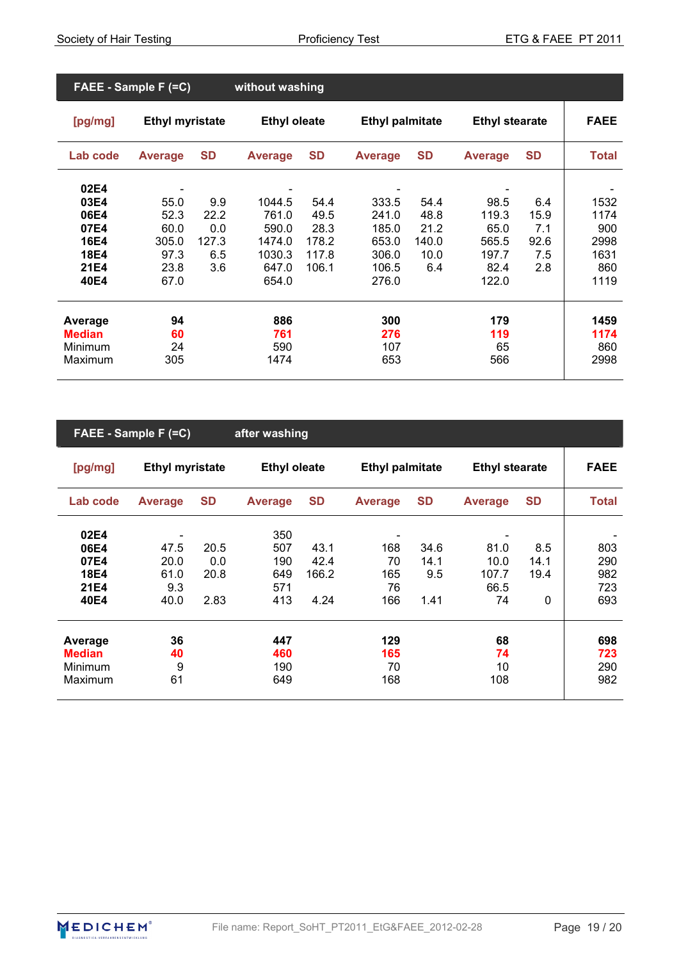| FAEE - Sample F (=C)                                                |                                                       |                                           | without washing                                                |                                                 |                                                             |                                              |                                                          |                                          |                                                    |
|---------------------------------------------------------------------|-------------------------------------------------------|-------------------------------------------|----------------------------------------------------------------|-------------------------------------------------|-------------------------------------------------------------|----------------------------------------------|----------------------------------------------------------|------------------------------------------|----------------------------------------------------|
| [pg/mg]                                                             | <b>Ethyl myristate</b>                                |                                           | <b>Ethyl oleate</b>                                            |                                                 | <b>Ethyl palmitate</b>                                      |                                              | <b>Ethyl stearate</b>                                    |                                          | <b>FAEE</b>                                        |
| Lab code                                                            | <b>Average</b>                                        | <b>SD</b>                                 | <b>Average</b>                                                 | <b>SD</b>                                       | <b>Average</b>                                              | <b>SD</b>                                    | <b>Average</b>                                           | <b>SD</b>                                | <b>Total</b>                                       |
| 02E4<br>03E4<br>06E4<br>07E4<br><b>16E4</b><br>18E4<br>21E4<br>40E4 | 55.0<br>52.3<br>60.0<br>305.0<br>97.3<br>23.8<br>67.0 | 9.9<br>22.2<br>0.0<br>127.3<br>6.5<br>3.6 | 1044.5<br>761.0<br>590.0<br>1474.0<br>1030.3<br>647.0<br>654.0 | 54.4<br>49.5<br>28.3<br>178.2<br>117.8<br>106.1 | 333.5<br>241.0<br>185.0<br>653.0<br>306.0<br>106.5<br>276.0 | 54.4<br>48.8<br>21.2<br>140.0<br>10.0<br>6.4 | 98.5<br>119.3<br>65.0<br>565.5<br>197.7<br>82.4<br>122.0 | 6.4<br>15.9<br>7.1<br>92.6<br>7.5<br>2.8 | 1532<br>1174<br>900<br>2998<br>1631<br>860<br>1119 |
| Average<br><b>Median</b><br>Minimum<br>Maximum                      | 94<br>60<br>24<br>305                                 |                                           | 886<br>761<br>590<br>1474                                      |                                                 | 300<br>276<br>107<br>653                                    |                                              | 179<br>119<br>65<br>566                                  |                                          | 1459<br>1174<br>860<br>2998                        |

| FAEE - Sample F (=C) |                        |           | after washing       |           |                        |           |                       |              |             |
|----------------------|------------------------|-----------|---------------------|-----------|------------------------|-----------|-----------------------|--------------|-------------|
| [pg/mg]              | <b>Ethyl myristate</b> |           | <b>Ethyl oleate</b> |           | <b>Ethyl palmitate</b> |           | <b>Ethyl stearate</b> |              | <b>FAEE</b> |
| Lab code             | <b>Average</b>         | <b>SD</b> | <b>Average</b>      | <b>SD</b> | <b>Average</b>         | <b>SD</b> | <b>Average</b>        | <b>SD</b>    | Total       |
| 02E4                 | -                      |           | 350                 |           |                        |           |                       |              |             |
| 06E4                 | 47.5                   | 20.5      | 507                 | 43.1      | 168                    | 34.6      | 81.0                  | 8.5          | 803         |
| 07E4                 | 20.0                   | 0.0       | 190                 | 42.4      | 70                     | 14.1      | 10.0                  | 14.1         | 290         |
| <b>18E4</b>          | 61.0                   | 20.8      | 649                 | 166.2     | 165                    | 9.5       | 107.7                 | 19.4         | 982         |
| 21E4                 | 9.3                    |           | 571                 |           | 76                     |           | 66.5                  |              | 723         |
| 40E4                 | 40.0                   | 2.83      | 413                 | 4.24      | 166                    | 1.41      | 74                    | $\mathbf{0}$ | 693         |
| Average              | 36                     |           | 447                 |           | 129                    |           | 68                    |              | 698         |
| <b>Median</b>        | 40                     |           | 460                 |           | 165                    |           | 74                    |              | 723         |
| <b>Minimum</b>       | 9                      |           | 190                 |           | 70                     |           | 10                    |              | 290         |
| Maximum              | 61                     |           | 649                 |           | 168                    |           | 108                   |              | 982         |